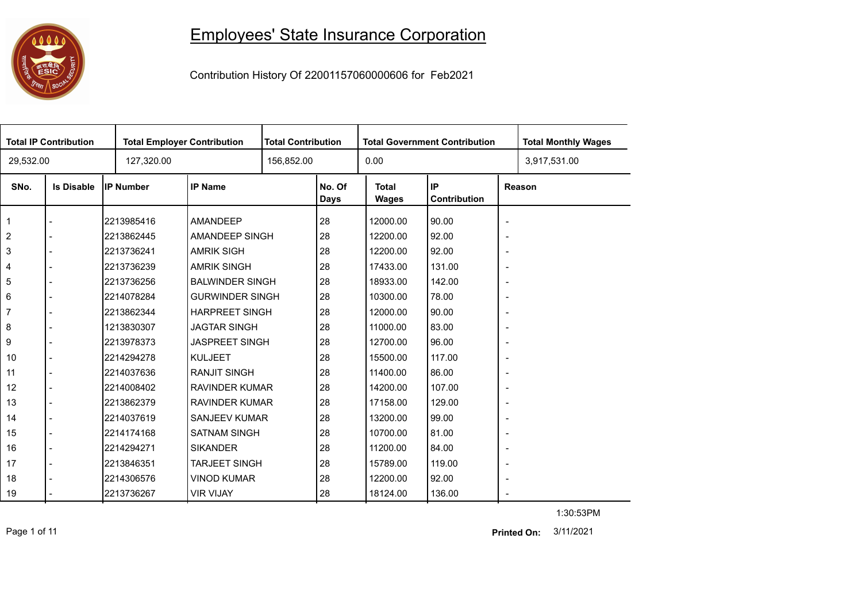

## Employees' State Insurance Corporation

Contribution History Of 22001157060000606 for Feb2021

|                | <b>Total IP Contribution</b> | <b>Total Employer Contribution</b> |                        | <b>Total Contribution</b> |                       | <b>Total Government Contribution</b> |                    |                          | <b>Total Monthly Wages</b> |
|----------------|------------------------------|------------------------------------|------------------------|---------------------------|-----------------------|--------------------------------------|--------------------|--------------------------|----------------------------|
| 29,532.00      |                              | 127,320.00                         |                        |                           | 156,852.00            |                                      |                    |                          | 3,917,531.00               |
| SNo.           | <b>Is Disable</b>            | <b>IP Number</b>                   | <b>IP Name</b>         |                           | No. Of<br><b>Days</b> | <b>Total</b><br><b>Wages</b>         | IP<br>Contribution |                          | Reason                     |
| $\mathbf 1$    |                              | 2213985416                         | AMANDEEP               |                           | 28                    | 12000.00                             | 90.00              | $\overline{\phantom{a}}$ |                            |
| 2              |                              | 2213862445                         | AMANDEEP SINGH         |                           | 28                    | 12200.00                             | 92.00              | $\overline{\phantom{a}}$ |                            |
| 3              |                              | 2213736241                         | <b>AMRIK SIGH</b>      |                           | 28                    | 12200.00                             | 92.00              | $\overline{\phantom{a}}$ |                            |
| 4              |                              | 2213736239                         | <b>AMRIK SINGH</b>     |                           | 28                    | 17433.00                             | 131.00             | $\overline{\phantom{a}}$ |                            |
| 5              |                              | 2213736256                         | <b>BALWINDER SINGH</b> |                           | 28                    | 18933.00                             | 142.00             | $\overline{\phantom{a}}$ |                            |
| 6              |                              | 2214078284                         | <b>GURWINDER SINGH</b> |                           | 28                    | 10300.00                             | 78.00              | $\overline{\phantom{a}}$ |                            |
| $\overline{7}$ |                              | 2213862344                         | <b>HARPREET SINGH</b>  |                           | 28                    | 12000.00                             | 90.00              | $\overline{\phantom{a}}$ |                            |
| 8              |                              | 1213830307                         | <b>JAGTAR SINGH</b>    |                           | 28                    | 11000.00                             | 83.00              | $\overline{\phantom{a}}$ |                            |
| 9              |                              | 2213978373                         | <b>JASPREET SINGH</b>  |                           | 28                    | 12700.00                             | 96.00              | $\overline{\phantom{a}}$ |                            |
| 10             |                              | 2214294278                         | <b>KULJEET</b>         |                           | 28                    | 15500.00                             | 117.00             | $\overline{\phantom{a}}$ |                            |
| 11             |                              | 2214037636                         | <b>RANJIT SINGH</b>    |                           | 28                    | 11400.00                             | 86.00              | $\overline{\phantom{a}}$ |                            |
| 12             |                              | 2214008402                         | <b>RAVINDER KUMAR</b>  |                           | 28                    | 14200.00                             | 107.00             | $\overline{\phantom{a}}$ |                            |
| 13             |                              | 2213862379                         | <b>RAVINDER KUMAR</b>  |                           | 28                    | 17158.00                             | 129.00             | $\overline{\phantom{a}}$ |                            |
| 14             |                              | 2214037619                         | <b>SANJEEV KUMAR</b>   |                           | 28                    | 13200.00                             | 99.00              | $\overline{\phantom{a}}$ |                            |
| 15             |                              | 2214174168                         | <b>SATNAM SINGH</b>    |                           | 28                    | 10700.00                             | 81.00              | $\overline{\phantom{a}}$ |                            |
| 16             |                              | 2214294271                         | <b>SIKANDER</b>        |                           | 28                    | 11200.00                             | 84.00              | $\overline{\phantom{a}}$ |                            |
| 17             |                              | 2213846351                         | <b>TARJEET SINGH</b>   |                           | 28                    | 15789.00                             | 119.00             | $\blacksquare$           |                            |
| 18             |                              | 2214306576                         | <b>VINOD KUMAR</b>     |                           | 28                    | 12200.00                             | 92.00              | $\overline{\phantom{a}}$ |                            |
| 19             |                              | 2213736267                         | <b>VIR VIJAY</b>       |                           | 28                    | 18124.00                             | 136.00             | $\overline{\phantom{a}}$ |                            |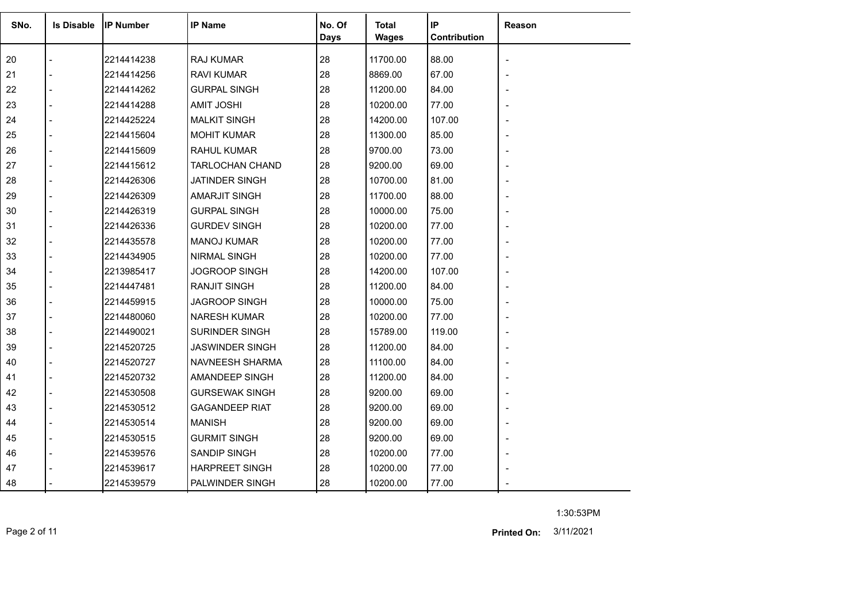| SNo. | <b>Is Disable</b> | <b>IP Number</b> | <b>IP Name</b>         | No. Of<br><b>Days</b> | Total<br><b>Wages</b> | IP<br>Contribution | Reason |
|------|-------------------|------------------|------------------------|-----------------------|-----------------------|--------------------|--------|
| 20   |                   | 2214414238       | RAJ KUMAR              | 28                    | 11700.00              | 88.00              |        |
| 21   |                   | 2214414256       | <b>RAVI KUMAR</b>      | 28                    | 8869.00               | 67.00              |        |
| 22   |                   | 2214414262       | <b>GURPAL SINGH</b>    | 28                    | 11200.00              | 84.00              |        |
| 23   |                   | 2214414288       | <b>AMIT JOSHI</b>      | 28                    | 10200.00              | 77.00              |        |
| 24   |                   | 2214425224       | <b>MALKIT SINGH</b>    | 28                    | 14200.00              | 107.00             |        |
| 25   |                   | 2214415604       | <b>MOHIT KUMAR</b>     | 28                    | 11300.00              | 85.00              |        |
| 26   |                   | 2214415609       | <b>RAHUL KUMAR</b>     | 28                    | 9700.00               | 73.00              |        |
| 27   |                   | 2214415612       | <b>TARLOCHAN CHAND</b> | 28                    | 9200.00               | 69.00              |        |
| 28   |                   | 2214426306       | JATINDER SINGH         | 28                    | 10700.00              | 81.00              |        |
| 29   |                   | 2214426309       | <b>AMARJIT SINGH</b>   | 28                    | 11700.00              | 88.00              |        |
| 30   |                   | 2214426319       | <b>GURPAL SINGH</b>    | 28                    | 10000.00              | 75.00              |        |
| 31   |                   | 2214426336       | <b>GURDEV SINGH</b>    | 28                    | 10200.00              | 77.00              |        |
| 32   |                   | 2214435578       | <b>MANOJ KUMAR</b>     | 28                    | 10200.00              | 77.00              |        |
| 33   |                   | 2214434905       | NIRMAL SINGH           | 28                    | 10200.00              | 77.00              |        |
| 34   |                   | 2213985417       | JOGROOP SINGH          | 28                    | 14200.00              | 107.00             |        |
| 35   |                   | 2214447481       | <b>RANJIT SINGH</b>    | 28                    | 11200.00              | 84.00              |        |
| 36   |                   | 2214459915       | JAGROOP SINGH          | 28                    | 10000.00              | 75.00              |        |
| 37   |                   | 2214480060       | <b>NARESH KUMAR</b>    | 28                    | 10200.00              | 77.00              |        |
| 38   |                   | 2214490021       | <b>SURINDER SINGH</b>  | 28                    | 15789.00              | 119.00             |        |
| 39   |                   | 2214520725       | <b>JASWINDER SINGH</b> | 28                    | 11200.00              | 84.00              |        |
| 40   |                   | 2214520727       | NAVNEESH SHARMA        | 28                    | 11100.00              | 84.00              |        |
| 41   |                   | 2214520732       | AMANDEEP SINGH         | 28                    | 11200.00              | 84.00              |        |
| 42   |                   | 2214530508       | <b>GURSEWAK SINGH</b>  | 28                    | 9200.00               | 69.00              |        |
| 43   |                   | 2214530512       | <b>GAGANDEEP RIAT</b>  | 28                    | 9200.00               | 69.00              |        |
| 44   |                   | 2214530514       | <b>MANISH</b>          | 28                    | 9200.00               | 69.00              |        |
| 45   |                   | 2214530515       | <b>GURMIT SINGH</b>    | 28                    | 9200.00               | 69.00              |        |
| 46   |                   | 2214539576       | SANDIP SINGH           | 28                    | 10200.00              | 77.00              |        |
| 47   |                   | 2214539617       | <b>HARPREET SINGH</b>  | 28                    | 10200.00              | 77.00              |        |
| 48   |                   | 2214539579       | PALWINDER SINGH        | 28                    | 10200.00              | 77.00              |        |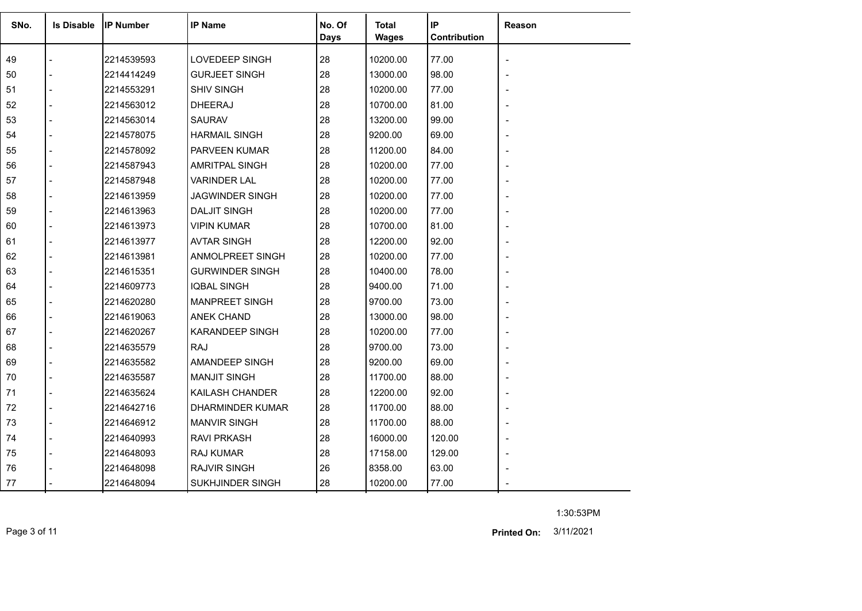| SNo. | <b>Is Disable</b> | <b>IP Number</b> | <b>IP Name</b>         | No. Of<br>Days | <b>Total</b><br><b>Wages</b> | IP<br>Contribution | <b>Reason</b> |
|------|-------------------|------------------|------------------------|----------------|------------------------------|--------------------|---------------|
| 49   |                   | 2214539593       | LOVEDEEP SINGH         | 28             | 10200.00                     | 77.00              |               |
| 50   |                   | 2214414249       | <b>GURJEET SINGH</b>   | 28             | 13000.00                     | 98.00              |               |
| 51   |                   | 2214553291       | <b>SHIV SINGH</b>      | 28             | 10200.00                     | 77.00              |               |
| 52   |                   | 2214563012       | <b>DHEERAJ</b>         | 28             | 10700.00                     | 81.00              |               |
| 53   |                   | 2214563014       | <b>SAURAV</b>          | 28             | 13200.00                     | 99.00              |               |
| 54   |                   | 2214578075       | <b>HARMAIL SINGH</b>   | 28             | 9200.00                      | 69.00              |               |
| 55   |                   | 2214578092       | PARVEEN KUMAR          | 28             | 11200.00                     | 84.00              |               |
| 56   |                   | 2214587943       | AMRITPAL SINGH         | 28             | 10200.00                     | 77.00              |               |
| 57   |                   | 2214587948       | <b>VARINDER LAL</b>    | 28             | 10200.00                     | 77.00              |               |
| 58   |                   | 2214613959       | <b>JAGWINDER SINGH</b> | 28             | 10200.00                     | 77.00              |               |
| 59   |                   | 2214613963       | <b>DALJIT SINGH</b>    | 28             | 10200.00                     | 77.00              |               |
| 60   |                   | 2214613973       | <b>VIPIN KUMAR</b>     | 28             | 10700.00                     | 81.00              |               |
| 61   |                   | 2214613977       | <b>AVTAR SINGH</b>     | 28             | 12200.00                     | 92.00              |               |
| 62   |                   | 2214613981       | ANMOLPREET SINGH       | 28             | 10200.00                     | 77.00              |               |
| 63   |                   | 2214615351       | <b>GURWINDER SINGH</b> | 28             | 10400.00                     | 78.00              |               |
| 64   |                   | 2214609773       | <b>IQBAL SINGH</b>     | 28             | 9400.00                      | 71.00              |               |
| 65   |                   | 2214620280       | <b>MANPREET SINGH</b>  | 28             | 9700.00                      | 73.00              |               |
| 66   |                   | 2214619063       | <b>ANEK CHAND</b>      | 28             | 13000.00                     | 98.00              |               |
| 67   |                   | 2214620267       | <b>KARANDEEP SINGH</b> | 28             | 10200.00                     | 77.00              |               |
| 68   |                   | 2214635579       | <b>RAJ</b>             | 28             | 9700.00                      | 73.00              |               |
| 69   |                   | 2214635582       | AMANDEEP SINGH         | 28             | 9200.00                      | 69.00              |               |
| 70   |                   | 2214635587       | <b>MANJIT SINGH</b>    | 28             | 11700.00                     | 88.00              |               |
| 71   |                   | 2214635624       | KAILASH CHANDER        | 28             | 12200.00                     | 92.00              |               |
| 72   |                   | 2214642716       | DHARMINDER KUMAR       | 28             | 11700.00                     | 88.00              |               |
| 73   |                   | 2214646912       | <b>MANVIR SINGH</b>    | 28             | 11700.00                     | 88.00              |               |
| 74   |                   | 2214640993       | <b>RAVI PRKASH</b>     | 28             | 16000.00                     | 120.00             |               |
| 75   |                   | 2214648093       | <b>RAJ KUMAR</b>       | 28             | 17158.00                     | 129.00             |               |
| 76   |                   | 2214648098       | <b>RAJVIR SINGH</b>    | 26             | 8358.00                      | 63.00              |               |
| 77   |                   | 2214648094       | SUKHJINDER SINGH       | 28             | 10200.00                     | 77.00              |               |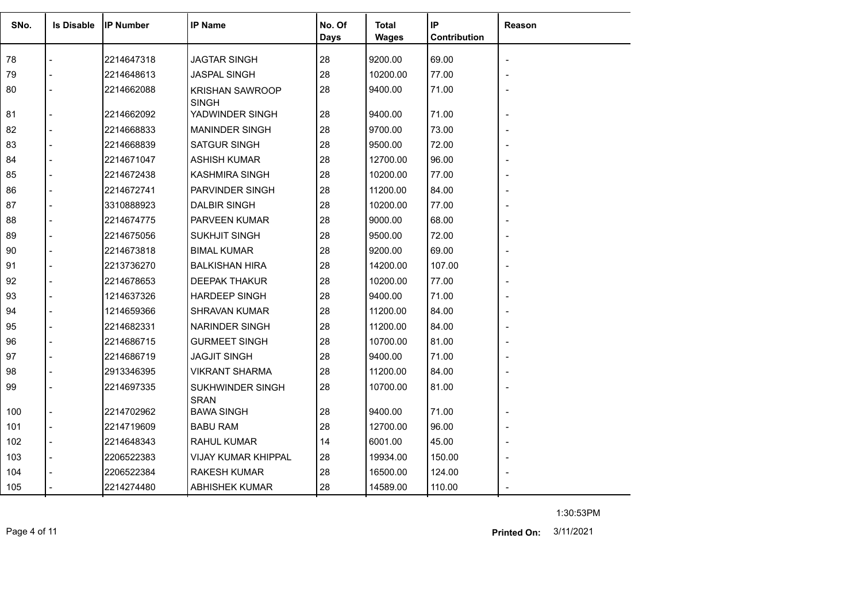| SNo. | <b>Is Disable</b> | <b>IP Number</b> | <b>IP Name</b>                  | No. Of<br>Days | <b>Total</b><br>Wages | IP<br>Contribution | <b>Reason</b> |
|------|-------------------|------------------|---------------------------------|----------------|-----------------------|--------------------|---------------|
| 78   |                   | 2214647318       | <b>JAGTAR SINGH</b>             | 28             | 9200.00               | 69.00              |               |
| 79   |                   | 2214648613       | <b>JASPAL SINGH</b>             | 28             | 10200.00              | 77.00              |               |
| 80   |                   | 2214662088       | <b>KRISHAN SAWROOP</b>          | 28             | 9400.00               | 71.00              |               |
|      |                   |                  | <b>SINGH</b>                    |                |                       |                    |               |
| 81   |                   | 2214662092       | YADWINDER SINGH                 | 28             | 9400.00               | 71.00              |               |
| 82   |                   | 2214668833       | <b>MANINDER SINGH</b>           | 28             | 9700.00               | 73.00              |               |
| 83   |                   | 2214668839       | <b>SATGUR SINGH</b>             | 28             | 9500.00               | 72.00              |               |
| 84   |                   | 2214671047       | <b>ASHISH KUMAR</b>             | 28             | 12700.00              | 96.00              |               |
| 85   |                   | 2214672438       | <b>KASHMIRA SINGH</b>           | 28             | 10200.00              | 77.00              |               |
| 86   |                   | 2214672741       | <b>PARVINDER SINGH</b>          | 28             | 11200.00              | 84.00              |               |
| 87   |                   | 3310888923       | <b>DALBIR SINGH</b>             | 28             | 10200.00              | 77.00              |               |
| 88   |                   | 2214674775       | <b>PARVEEN KUMAR</b>            | 28             | 9000.00               | 68.00              |               |
| 89   |                   | 2214675056       | <b>SUKHJIT SINGH</b>            | 28             | 9500.00               | 72.00              |               |
| 90   |                   | 2214673818       | <b>BIMAL KUMAR</b>              | 28             | 9200.00               | 69.00              |               |
| 91   |                   | 2213736270       | <b>BALKISHAN HIRA</b>           | 28             | 14200.00              | 107.00             |               |
| 92   |                   | 2214678653       | <b>DEEPAK THAKUR</b>            | 28             | 10200.00              | 77.00              |               |
| 93   |                   | 1214637326       | <b>HARDEEP SINGH</b>            | 28             | 9400.00               | 71.00              |               |
| 94   |                   | 1214659366       | <b>SHRAVAN KUMAR</b>            | 28             | 11200.00              | 84.00              |               |
| 95   |                   | 2214682331       | <b>NARINDER SINGH</b>           | 28             | 11200.00              | 84.00              |               |
| 96   |                   | 2214686715       | <b>GURMEET SINGH</b>            | 28             | 10700.00              | 81.00              |               |
| 97   |                   | 2214686719       | <b>JAGJIT SINGH</b>             | 28             | 9400.00               | 71.00              |               |
| 98   |                   | 2913346395       | <b>VIKRANT SHARMA</b>           | 28             | 11200.00              | 84.00              |               |
| 99   |                   | 2214697335       | SUKHWINDER SINGH<br><b>SRAN</b> | 28             | 10700.00              | 81.00              |               |
| 100  |                   | 2214702962       | <b>BAWA SINGH</b>               | 28             | 9400.00               | 71.00              |               |
| 101  |                   | 2214719609       | <b>BABU RAM</b>                 | 28             | 12700.00              | 96.00              |               |
| 102  |                   | 2214648343       | <b>RAHUL KUMAR</b>              | 14             | 6001.00               | 45.00              |               |
| 103  |                   | 2206522383       | <b>VIJAY KUMAR KHIPPAL</b>      | 28             | 19934.00              | 150.00             |               |
| 104  |                   | 2206522384       | <b>RAKESH KUMAR</b>             | 28             | 16500.00              | 124.00             |               |
| 105  |                   | 2214274480       | <b>ABHISHEK KUMAR</b>           | 28             | 14589.00              | 110.00             |               |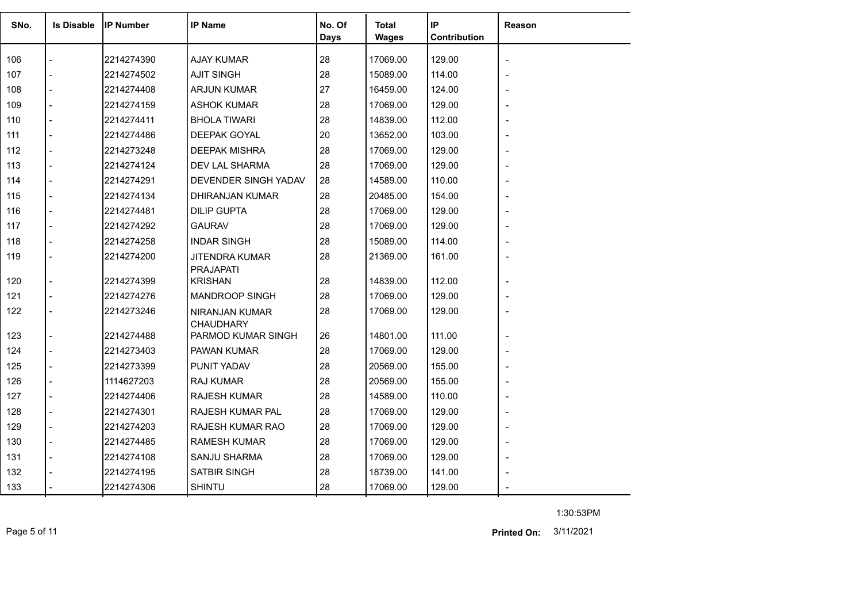| SNo. | <b>Is Disable</b> | <b>IP Number</b> | <b>IP Name</b>                            | No. Of<br>Days | <b>Total</b><br><b>Wages</b> | IP<br>Contribution | <b>Reason</b> |
|------|-------------------|------------------|-------------------------------------------|----------------|------------------------------|--------------------|---------------|
| 106  |                   | 2214274390       | <b>AJAY KUMAR</b>                         | 28             | 17069.00                     | 129.00             |               |
| 107  |                   | 2214274502       | <b>AJIT SINGH</b>                         | 28             | 15089.00                     | 114.00             |               |
| 108  |                   | 2214274408       | <b>ARJUN KUMAR</b>                        | 27             | 16459.00                     | 124.00             |               |
| 109  |                   | 2214274159       | <b>ASHOK KUMAR</b>                        | 28             | 17069.00                     | 129.00             |               |
| 110  |                   | 2214274411       | <b>BHOLA TIWARI</b>                       | 28             | 14839.00                     | 112.00             |               |
| 111  |                   | 2214274486       | DEEPAK GOYAL                              | 20             | 13652.00                     | 103.00             |               |
| 112  |                   | 2214273248       | <b>DEEPAK MISHRA</b>                      | 28             | 17069.00                     | 129.00             |               |
| 113  |                   | 2214274124       | DEV LAL SHARMA                            | 28             | 17069.00                     | 129.00             |               |
| 114  |                   | 2214274291       | DEVENDER SINGH YADAV                      | 28             | 14589.00                     | 110.00             |               |
| 115  |                   | 2214274134       | DHIRANJAN KUMAR                           | 28             | 20485.00                     | 154.00             |               |
| 116  |                   | 2214274481       | <b>DILIP GUPTA</b>                        | 28             | 17069.00                     | 129.00             |               |
| 117  |                   | 2214274292       | <b>GAURAV</b>                             | 28             | 17069.00                     | 129.00             |               |
| 118  |                   | 2214274258       | <b>INDAR SINGH</b>                        | 28             | 15089.00                     | 114.00             |               |
| 119  |                   | 2214274200       | <b>JITENDRA KUMAR</b><br><b>PRAJAPATI</b> | 28             | 21369.00                     | 161.00             |               |
| 120  |                   | 2214274399       | <b>KRISHAN</b>                            | 28             | 14839.00                     | 112.00             |               |
| 121  |                   | 2214274276       | <b>MANDROOP SINGH</b>                     | 28             | 17069.00                     | 129.00             |               |
| 122  |                   | 2214273246       | NIRANJAN KUMAR<br><b>CHAUDHARY</b>        | 28             | 17069.00                     | 129.00             |               |
| 123  |                   | 2214274488       | PARMOD KUMAR SINGH                        | 26             | 14801.00                     | 111.00             |               |
| 124  |                   | 2214273403       | PAWAN KUMAR                               | 28             | 17069.00                     | 129.00             |               |
| 125  |                   | 2214273399       | PUNIT YADAV                               | 28             | 20569.00                     | 155.00             |               |
| 126  |                   | 1114627203       | RAJ KUMAR                                 | 28             | 20569.00                     | 155.00             |               |
| 127  |                   | 2214274406       | <b>RAJESH KUMAR</b>                       | 28             | 14589.00                     | 110.00             |               |
| 128  |                   | 2214274301       | RAJESH KUMAR PAL                          | 28             | 17069.00                     | 129.00             |               |
| 129  | $\overline{a}$    | 2214274203       | RAJESH KUMAR RAO                          | 28             | 17069.00                     | 129.00             |               |
| 130  |                   | 2214274485       | <b>RAMESH KUMAR</b>                       | 28             | 17069.00                     | 129.00             |               |
| 131  |                   | 2214274108       | SANJU SHARMA                              | 28             | 17069.00                     | 129.00             |               |
| 132  |                   | 2214274195       | <b>SATBIR SINGH</b>                       | 28             | 18739.00                     | 141.00             |               |
| 133  |                   | 2214274306       | <b>SHINTU</b>                             | 28             | 17069.00                     | 129.00             |               |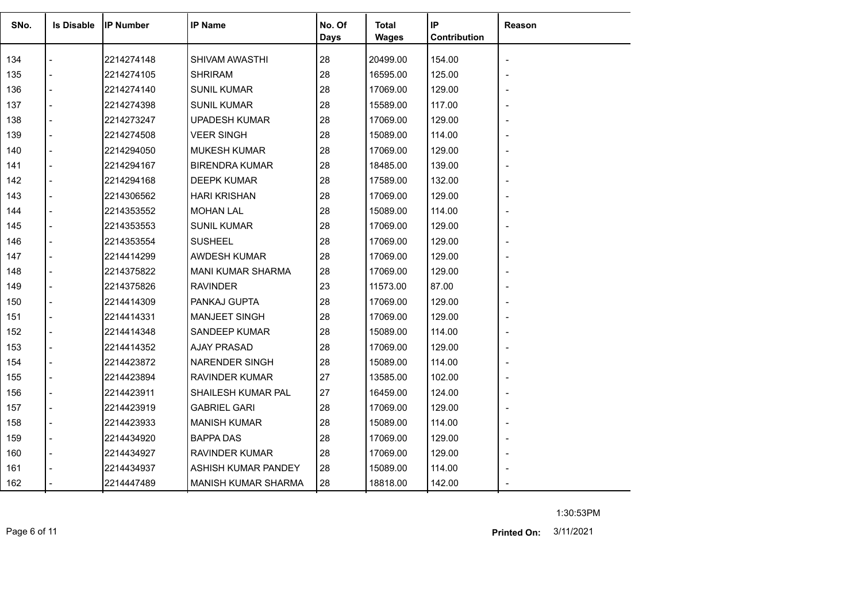| SNo. | <b>Is Disable</b>        | <b>IP Number</b> | <b>IP Name</b>           | No. Of<br><b>Days</b> | Total<br>Wages | IP<br>Contribution | Reason         |
|------|--------------------------|------------------|--------------------------|-----------------------|----------------|--------------------|----------------|
| 134  |                          | 2214274148       | SHIVAM AWASTHI           | 28                    | 20499.00       | 154.00             |                |
| 135  |                          | 2214274105       | <b>SHRIRAM</b>           | 28                    | 16595.00       | 125.00             |                |
| 136  |                          | 2214274140       | <b>SUNIL KUMAR</b>       | 28                    | 17069.00       | 129.00             |                |
| 137  |                          | 2214274398       | <b>SUNIL KUMAR</b>       | 28                    | 15589.00       | 117.00             |                |
| 138  |                          | 2214273247       | <b>UPADESH KUMAR</b>     | 28                    | 17069.00       | 129.00             |                |
| 139  |                          | 2214274508       | VEER SINGH               | 28                    | 15089.00       | 114.00             |                |
| 140  |                          | 2214294050       | <b>MUKESH KUMAR</b>      | 28                    | 17069.00       | 129.00             |                |
| 141  |                          | 2214294167       | <b>BIRENDRA KUMAR</b>    | 28                    | 18485.00       | 139.00             |                |
| 142  |                          | 2214294168       | DEEPK KUMAR              | 28                    | 17589.00       | 132.00             |                |
| 143  |                          | 2214306562       | <b>HARI KRISHAN</b>      | 28                    | 17069.00       | 129.00             |                |
| 144  | $\overline{a}$           | 2214353552       | <b>MOHAN LAL</b>         | 28                    | 15089.00       | 114.00             |                |
| 145  | $\overline{a}$           | 2214353553       | <b>SUNIL KUMAR</b>       | 28                    | 17069.00       | 129.00             |                |
| 146  |                          | 2214353554       | <b>SUSHEEL</b>           | 28                    | 17069.00       | 129.00             |                |
| 147  | $\overline{\phantom{a}}$ | 2214414299       | <b>AWDESH KUMAR</b>      | 28                    | 17069.00       | 129.00             |                |
| 148  |                          | 2214375822       | <b>MANI KUMAR SHARMA</b> | 28                    | 17069.00       | 129.00             |                |
| 149  |                          | 2214375826       | <b>RAVINDER</b>          | 23                    | 11573.00       | 87.00              |                |
| 150  | $\overline{a}$           | 2214414309       | PANKAJ GUPTA             | 28                    | 17069.00       | 129.00             |                |
| 151  |                          | 2214414331       | MANJEET SINGH            | 28                    | 17069.00       | 129.00             |                |
| 152  | $\blacksquare$           | 2214414348       | SANDEEP KUMAR            | 28                    | 15089.00       | 114.00             |                |
| 153  |                          | 2214414352       | AJAY PRASAD              | 28                    | 17069.00       | 129.00             |                |
| 154  |                          | 2214423872       | <b>NARENDER SINGH</b>    | 28                    | 15089.00       | 114.00             |                |
| 155  |                          | 2214423894       | <b>RAVINDER KUMAR</b>    | 27                    | 13585.00       | 102.00             |                |
| 156  |                          | 2214423911       | SHAILESH KUMAR PAL       | 27                    | 16459.00       | 124.00             |                |
| 157  |                          | 2214423919       | <b>GABRIEL GARI</b>      | 28                    | 17069.00       | 129.00             |                |
| 158  |                          | 2214423933       | <b>MANISH KUMAR</b>      | 28                    | 15089.00       | 114.00             |                |
| 159  |                          | 2214434920       | BAPPA DAS                | 28                    | 17069.00       | 129.00             | $\blacksquare$ |
| 160  |                          | 2214434927       | RAVINDER KUMAR           | 28                    | 17069.00       | 129.00             |                |
| 161  |                          | 2214434937       | ASHISH KUMAR PANDEY      | 28                    | 15089.00       | 114.00             |                |
| 162  |                          | 2214447489       | MANISH KUMAR SHARMA      | 28                    | 18818.00       | 142.00             |                |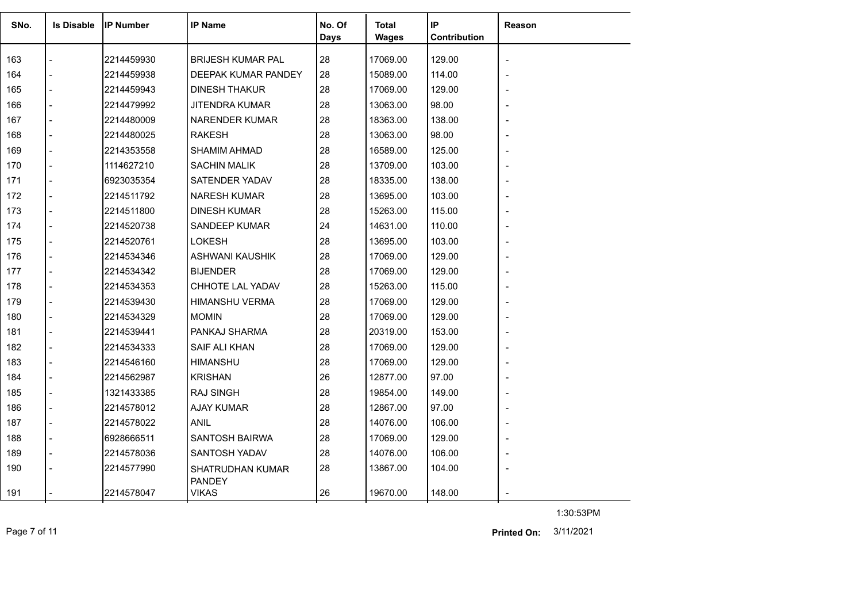| SNo. | <b>Is Disable</b> | <b>IP Number</b> | <b>IP Name</b>                           | No. Of<br>Days | Total<br><b>Wages</b> | IP<br>Contribution | <b>Reason</b>            |
|------|-------------------|------------------|------------------------------------------|----------------|-----------------------|--------------------|--------------------------|
| 163  |                   | 2214459930       | <b>BRIJESH KUMAR PAL</b>                 | 28             | 17069.00              | 129.00             | $\overline{\phantom{a}}$ |
| 164  |                   | 2214459938       | DEEPAK KUMAR PANDEY                      | 28             | 15089.00              | 114.00             |                          |
| 165  |                   | 2214459943       | DINESH THAKUR                            | 28             | 17069.00              | 129.00             |                          |
| 166  |                   | 2214479992       | <b>JITENDRA KUMAR</b>                    | 28             | 13063.00              | 98.00              |                          |
| 167  |                   | 2214480009       | NARENDER KUMAR                           | 28             | 18363.00              | 138.00             |                          |
| 168  |                   | 2214480025       | <b>RAKESH</b>                            | 28             | 13063.00              | 98.00              |                          |
| 169  |                   | 2214353558       | <b>SHAMIM AHMAD</b>                      | 28             | 16589.00              | 125.00             |                          |
| 170  |                   | 1114627210       | <b>SACHIN MALIK</b>                      | 28             | 13709.00              | 103.00             |                          |
| 171  |                   | 6923035354       | SATENDER YADAV                           | 28             | 18335.00              | 138.00             |                          |
| 172  |                   | 2214511792       | NARESH KUMAR                             | 28             | 13695.00              | 103.00             |                          |
| 173  |                   | 2214511800       | <b>DINESH KUMAR</b>                      | 28             | 15263.00              | 115.00             |                          |
| 174  |                   | 2214520738       | <b>SANDEEP KUMAR</b>                     | 24             | 14631.00              | 110.00             |                          |
| 175  |                   | 2214520761       | LOKESH                                   | 28             | 13695.00              | 103.00             |                          |
| 176  |                   | 2214534346       | ASHWANI KAUSHIK                          | 28             | 17069.00              | 129.00             |                          |
| 177  |                   | 2214534342       | <b>BIJENDER</b>                          | 28             | 17069.00              | 129.00             |                          |
| 178  |                   | 2214534353       | CHHOTE LAL YADAV                         | 28             | 15263.00              | 115.00             |                          |
| 179  |                   | 2214539430       | <b>HIMANSHU VERMA</b>                    | 28             | 17069.00              | 129.00             |                          |
| 180  |                   | 2214534329       | <b>MOMIN</b>                             | 28             | 17069.00              | 129.00             |                          |
| 181  |                   | 2214539441       | PANKAJ SHARMA                            | 28             | 20319.00              | 153.00             |                          |
| 182  |                   | 2214534333       | SAIF ALI KHAN                            | 28             | 17069.00              | 129.00             |                          |
| 183  |                   | 2214546160       | <b>HIMANSHU</b>                          | 28             | 17069.00              | 129.00             |                          |
| 184  |                   | 2214562987       | <b>KRISHAN</b>                           | 26             | 12877.00              | 97.00              |                          |
| 185  |                   | 1321433385       | <b>RAJ SINGH</b>                         | 28             | 19854.00              | 149.00             |                          |
| 186  |                   | 2214578012       | <b>AJAY KUMAR</b>                        | 28             | 12867.00              | 97.00              |                          |
| 187  |                   | 2214578022       | <b>ANIL</b>                              | 28             | 14076.00              | 106.00             |                          |
| 188  |                   | 6928666511       | SANTOSH BAIRWA                           | 28             | 17069.00              | 129.00             |                          |
| 189  |                   | 2214578036       | SANTOSH YADAV                            | 28             | 14076.00              | 106.00             |                          |
| 190  |                   | 2214577990       | <b>SHATRUDHAN KUMAR</b><br><b>PANDEY</b> | 28             | 13867.00              | 104.00             |                          |
| 191  |                   | 2214578047       | <b>VIKAS</b>                             | 26             | 19670.00              | 148.00             |                          |

Page 7 of 11 3/11/2021 **Printed On:**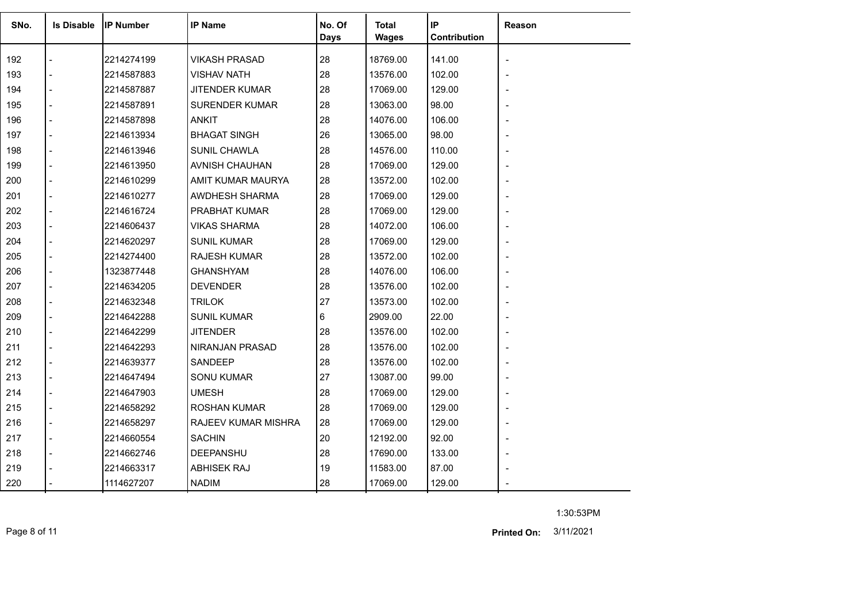| SNo. | <b>Is Disable</b> | <b>IP Number</b> | <b>IP Name</b>        | No. Of<br>Days | Total<br><b>Wages</b> | IP<br>Contribution | Reason |
|------|-------------------|------------------|-----------------------|----------------|-----------------------|--------------------|--------|
| 192  |                   | 2214274199       | <b>VIKASH PRASAD</b>  | 28             | 18769.00              | 141.00             |        |
| 193  |                   | 2214587883       | <b>VISHAV NATH</b>    | 28             | 13576.00              | 102.00             |        |
| 194  |                   | 2214587887       | JITENDER KUMAR        | 28             | 17069.00              | 129.00             |        |
| 195  |                   | 2214587891       | <b>SURENDER KUMAR</b> | 28             | 13063.00              | 98.00              |        |
| 196  |                   | 2214587898       | <b>ANKIT</b>          | 28             | 14076.00              | 106.00             |        |
| 197  |                   | 2214613934       | <b>BHAGAT SINGH</b>   | 26             | 13065.00              | 98.00              |        |
| 198  |                   | 2214613946       | SUNIL CHAWLA          | 28             | 14576.00              | 110.00             |        |
| 199  |                   | 2214613950       | AVNISH CHAUHAN        | 28             | 17069.00              | 129.00             |        |
| 200  |                   | 2214610299       | AMIT KUMAR MAURYA     | 28             | 13572.00              | 102.00             |        |
| 201  |                   | 2214610277       | AWDHESH SHARMA        | 28             | 17069.00              | 129.00             |        |
| 202  |                   | 2214616724       | PRABHAT KUMAR         | 28             | 17069.00              | 129.00             |        |
| 203  |                   | 2214606437       | <b>VIKAS SHARMA</b>   | 28             | 14072.00              | 106.00             |        |
| 204  |                   | 2214620297       | <b>SUNIL KUMAR</b>    | 28             | 17069.00              | 129.00             |        |
| 205  |                   | 2214274400       | <b>RAJESH KUMAR</b>   | 28             | 13572.00              | 102.00             |        |
| 206  |                   | 1323877448       | <b>GHANSHYAM</b>      | 28             | 14076.00              | 106.00             |        |
| 207  |                   | 2214634205       | <b>DEVENDER</b>       | 28             | 13576.00              | 102.00             |        |
| 208  |                   | 2214632348       | <b>TRILOK</b>         | 27             | 13573.00              | 102.00             |        |
| 209  |                   | 2214642288       | <b>SUNIL KUMAR</b>    | 6              | 2909.00               | 22.00              |        |
| 210  |                   | 2214642299       | <b>JITENDER</b>       | 28             | 13576.00              | 102.00             |        |
| 211  |                   | 2214642293       | NIRANJAN PRASAD       | 28             | 13576.00              | 102.00             |        |
| 212  |                   | 2214639377       | SANDEEP               | 28             | 13576.00              | 102.00             |        |
| 213  |                   | 2214647494       | <b>SONU KUMAR</b>     | 27             | 13087.00              | 99.00              |        |
| 214  |                   | 2214647903       | <b>UMESH</b>          | 28             | 17069.00              | 129.00             |        |
| 215  |                   | 2214658292       | <b>ROSHAN KUMAR</b>   | 28             | 17069.00              | 129.00             |        |
| 216  |                   | 2214658297       | RAJEEV KUMAR MISHRA   | 28             | 17069.00              | 129.00             |        |
| 217  |                   | 2214660554       | <b>SACHIN</b>         | 20             | 12192.00              | 92.00              |        |
| 218  |                   | 2214662746       | DEEPANSHU             | 28             | 17690.00              | 133.00             |        |
| 219  |                   | 2214663317       | <b>ABHISEK RAJ</b>    | 19             | 11583.00              | 87.00              |        |
| 220  |                   | 1114627207       | <b>NADIM</b>          | 28             | 17069.00              | 129.00             |        |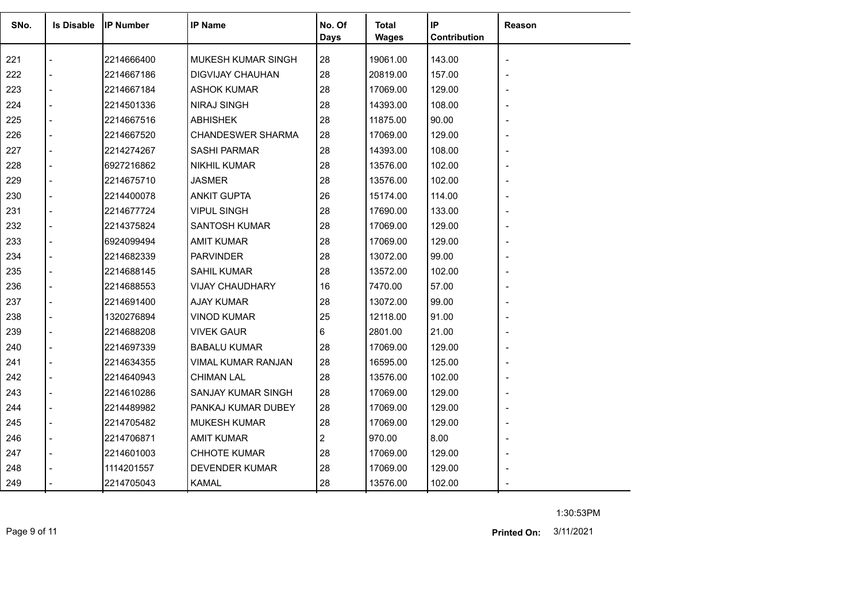| SNo. | <b>Is Disable</b>        | <b>IP Number</b> | <b>IP Name</b>            | No. Of<br><b>Days</b> | Total<br><b>Wages</b> | IP<br>Contribution | Reason         |
|------|--------------------------|------------------|---------------------------|-----------------------|-----------------------|--------------------|----------------|
| 221  |                          | 2214666400       | <b>MUKESH KUMAR SINGH</b> | 28                    | 19061.00              | 143.00             |                |
| 222  |                          | 2214667186       | <b>DIGVIJAY CHAUHAN</b>   | 28                    | 20819.00              | 157.00             |                |
| 223  | $\overline{a}$           | 2214667184       | <b>ASHOK KUMAR</b>        | 28                    | 17069.00              | 129.00             |                |
| 224  |                          | 2214501336       | <b>NIRAJ SINGH</b>        | 28                    | 14393.00              | 108.00             |                |
| 225  |                          | 2214667516       | <b>ABHISHEK</b>           | 28                    | 11875.00              | 90.00              |                |
| 226  | $\blacksquare$           | 2214667520       | <b>CHANDESWER SHARMA</b>  | 28                    | 17069.00              | 129.00             |                |
| 227  |                          | 2214274267       | <b>SASHI PARMAR</b>       | 28                    | 14393.00              | 108.00             |                |
| 228  |                          | 6927216862       | <b>NIKHIL KUMAR</b>       | 28                    | 13576.00              | 102.00             |                |
| 229  | $\overline{a}$           | 2214675710       | <b>JASMER</b>             | 28                    | 13576.00              | 102.00             |                |
| 230  |                          | 2214400078       | <b>ANKIT GUPTA</b>        | 26                    | 15174.00              | 114.00             |                |
| 231  |                          | 2214677724       | <b>VIPUL SINGH</b>        | 28                    | 17690.00              | 133.00             |                |
| 232  | $\overline{a}$           | 2214375824       | <b>SANTOSH KUMAR</b>      | 28                    | 17069.00              | 129.00             |                |
| 233  |                          | 6924099494       | AMIT KUMAR                | 28                    | 17069.00              | 129.00             |                |
| 234  |                          | 2214682339       | <b>PARVINDER</b>          | 28                    | 13072.00              | 99.00              |                |
| 235  |                          | 2214688145       | <b>SAHIL KUMAR</b>        | 28                    | 13572.00              | 102.00             |                |
| 236  | $\overline{\phantom{a}}$ | 2214688553       | VIJAY CHAUDHARY           | 16                    | 7470.00               | 57.00              |                |
| 237  |                          | 2214691400       | <b>AJAY KUMAR</b>         | 28                    | 13072.00              | 99.00              |                |
| 238  |                          | 1320276894       | <b>VINOD KUMAR</b>        | 25                    | 12118.00              | 91.00              |                |
| 239  |                          | 2214688208       | <b>VIVEK GAUR</b>         | 6                     | 2801.00               | 21.00              |                |
| 240  | $\overline{a}$           | 2214697339       | <b>BABALU KUMAR</b>       | 28                    | 17069.00              | 129.00             | $\blacksquare$ |
| 241  |                          | 2214634355       | VIMAL KUMAR RANJAN        | 28                    | 16595.00              | 125.00             |                |
| 242  |                          | 2214640943       | <b>CHIMAN LAL</b>         | 28                    | 13576.00              | 102.00             |                |
| 243  | $\blacksquare$           | 2214610286       | SANJAY KUMAR SINGH        | 28                    | 17069.00              | 129.00             |                |
| 244  |                          | 2214489982       | PANKAJ KUMAR DUBEY        | 28                    | 17069.00              | 129.00             |                |
| 245  |                          | 2214705482       | <b>MUKESH KUMAR</b>       | 28                    | 17069.00              | 129.00             |                |
| 246  | $\overline{a}$           | 2214706871       | <b>AMIT KUMAR</b>         | $\overline{2}$        | 970.00                | 8.00               |                |
| 247  |                          | 2214601003       | <b>CHHOTE KUMAR</b>       | 28                    | 17069.00              | 129.00             |                |
| 248  |                          | 1114201557       | <b>DEVENDER KUMAR</b>     | 28                    | 17069.00              | 129.00             |                |
| 249  |                          | 2214705043       | <b>KAMAL</b>              | 28                    | 13576.00              | 102.00             |                |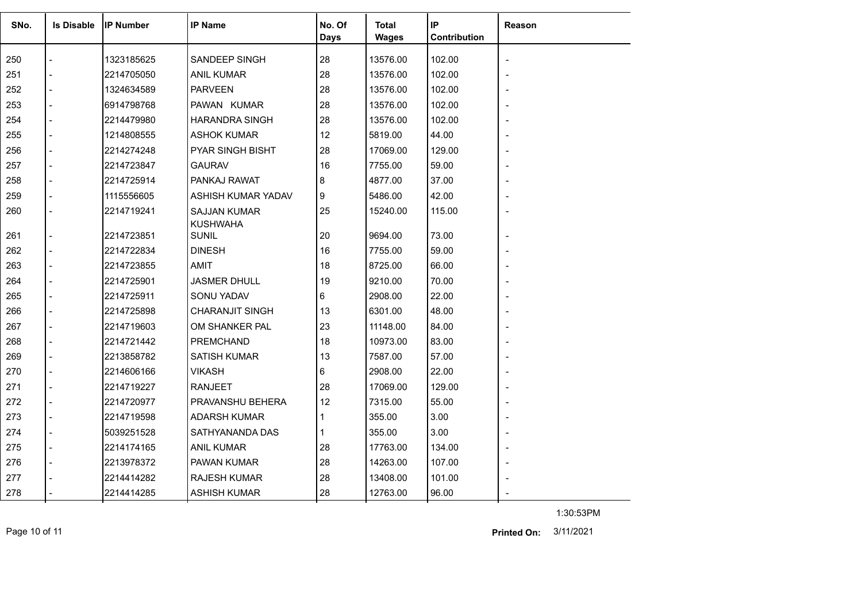| SNo. | <b>Is Disable</b>        | <b>IP Number</b> | <b>IP Name</b>                         | No. Of      | <b>Total</b> | IP           | <b>Reason</b> |
|------|--------------------------|------------------|----------------------------------------|-------------|--------------|--------------|---------------|
|      |                          |                  |                                        | <b>Days</b> | Wages        | Contribution |               |
| 250  |                          | 1323185625       | SANDEEP SINGH                          | 28          | 13576.00     | 102.00       |               |
| 251  | $\overline{a}$           | 2214705050       | <b>ANIL KUMAR</b>                      | 28          | 13576.00     | 102.00       |               |
| 252  | $\overline{a}$           | 1324634589       | <b>PARVEEN</b>                         | 28          | 13576.00     | 102.00       |               |
| 253  |                          | 6914798768       | PAWAN KUMAR                            | 28          | 13576.00     | 102.00       |               |
| 254  | $\overline{a}$           | 2214479980       | <b>HARANDRA SINGH</b>                  | 28          | 13576.00     | 102.00       |               |
| 255  | $\overline{a}$           | 1214808555       | <b>ASHOK KUMAR</b>                     | 12          | 5819.00      | 44.00        |               |
| 256  |                          | 2214274248       | PYAR SINGH BISHT                       | 28          | 17069.00     | 129.00       |               |
| 257  |                          | 2214723847       | <b>GAURAV</b>                          | 16          | 7755.00      | 59.00        |               |
| 258  | $\overline{\phantom{a}}$ | 2214725914       | PANKAJ RAWAT                           | 8           | 4877.00      | 37.00        |               |
| 259  |                          | 1115556605       | ASHISH KUMAR YADAV                     | 9           | 5486.00      | 42.00        |               |
| 260  |                          | 2214719241       | <b>SAJJAN KUMAR</b><br><b>KUSHWAHA</b> | 25          | 15240.00     | 115.00       |               |
| 261  | $\overline{\phantom{a}}$ | 2214723851       | <b>SUNIL</b>                           | 20          | 9694.00      | 73.00        |               |
| 262  |                          | 2214722834       | <b>DINESH</b>                          | 16          | 7755.00      | 59.00        |               |
| 263  | $\overline{a}$           | 2214723855       | AMIT                                   | 18          | 8725.00      | 66.00        |               |
| 264  |                          | 2214725901       | <b>JASMER DHULL</b>                    | 19          | 9210.00      | 70.00        |               |
| 265  |                          | 2214725911       | SONU YADAV                             | 6           | 2908.00      | 22.00        |               |
| 266  |                          | 2214725898       | <b>CHARANJIT SINGH</b>                 | 13          | 6301.00      | 48.00        |               |
| 267  | $\overline{\phantom{a}}$ | 2214719603       | OM SHANKER PAL                         | 23          | 11148.00     | 84.00        |               |
| 268  | $\overline{a}$           | 2214721442       | PREMCHAND                              | 18          | 10973.00     | 83.00        |               |
| 269  |                          | 2213858782       | <b>SATISH KUMAR</b>                    | 13          | 7587.00      | 57.00        |               |
| 270  | $\overline{a}$           | 2214606166       | <b>VIKASH</b>                          | 6           | 2908.00      | 22.00        |               |
| 271  | $\overline{a}$           | 2214719227       | RANJEET                                | 28          | 17069.00     | 129.00       |               |
| 272  |                          | 2214720977       | PRAVANSHU BEHERA                       | 12          | 7315.00      | 55.00        |               |
| 273  |                          | 2214719598       | <b>ADARSH KUMAR</b>                    |             | 355.00       | 3.00         |               |
| 274  | $\overline{\phantom{a}}$ | 5039251528       | SATHYANANDA DAS                        |             | 355.00       | 3.00         |               |
| 275  | $\overline{\phantom{a}}$ | 2214174165       | <b>ANIL KUMAR</b>                      | 28          | 17763.00     | 134.00       |               |
| 276  |                          | 2213978372       | PAWAN KUMAR                            | 28          | 14263.00     | 107.00       |               |
| 277  |                          | 2214414282       | RAJESH KUMAR                           | 28          | 13408.00     | 101.00       |               |
| 278  |                          | 2214414285       | <b>ASHISH KUMAR</b>                    | 28          | 12763.00     | 96.00        |               |

Page 10 of 11 3/11/2021 **Printed On:**